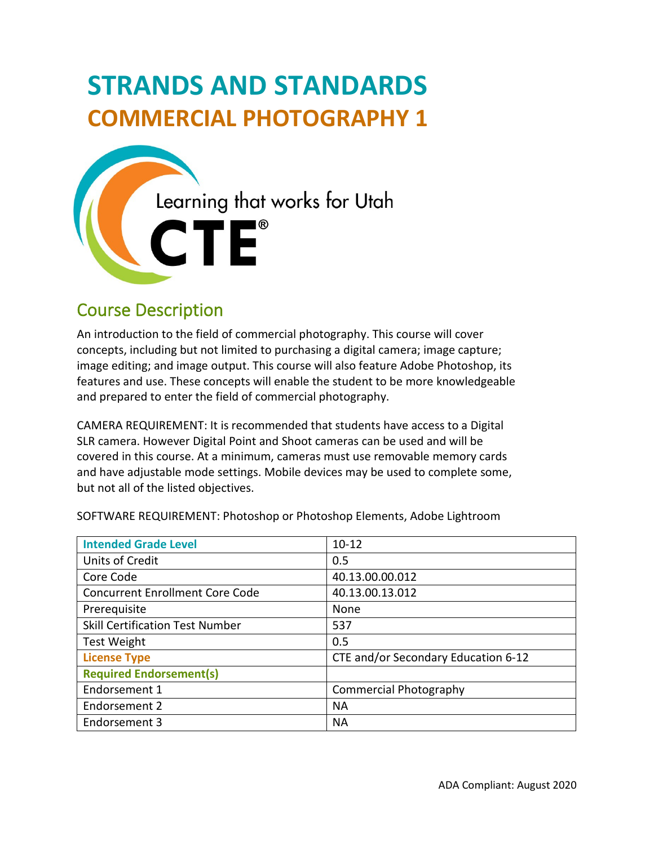# **STRANDS AND STANDARDS COMMERCIAL PHOTOGRAPHY 1**



# Course Description

 concepts, including but not limited to purchasing a digital camera; image capture; features and use. These concepts will enable the student to be more knowledgeable and prepared to enter the field of commercial photography. An introduction to the field of commercial photography. This course will cover image editing; and image output. This course will also feature Adobe Photoshop, its

 CAMERA REQUIREMENT: It is recommended that students have access to a Digital SLR camera. However Digital Point and Shoot cameras can be used and will be but not all of the listed objectives. covered in this course. At a minimum, cameras must use removable memory cards and have adjustable mode settings. Mobile devices may be used to complete some,

| <b>Intended Grade Level</b>            | $10 - 12$                           |
|----------------------------------------|-------------------------------------|
| Units of Credit                        | 0.5                                 |
| Core Code                              | 40.13.00.00.012                     |
| <b>Concurrent Enrollment Core Code</b> | 40.13.00.13.012                     |
| Prerequisite                           | None                                |
| <b>Skill Certification Test Number</b> | 537                                 |
| <b>Test Weight</b>                     | 0.5                                 |
| <b>License Type</b>                    | CTE and/or Secondary Education 6-12 |
| <b>Required Endorsement(s)</b>         |                                     |
| Endorsement 1                          | <b>Commercial Photography</b>       |
| Endorsement 2                          | <b>NA</b>                           |
| Endorsement 3                          | <b>NA</b>                           |

SOFTWARE REQUIREMENT: Photoshop or Photoshop Elements, Adobe Lightroom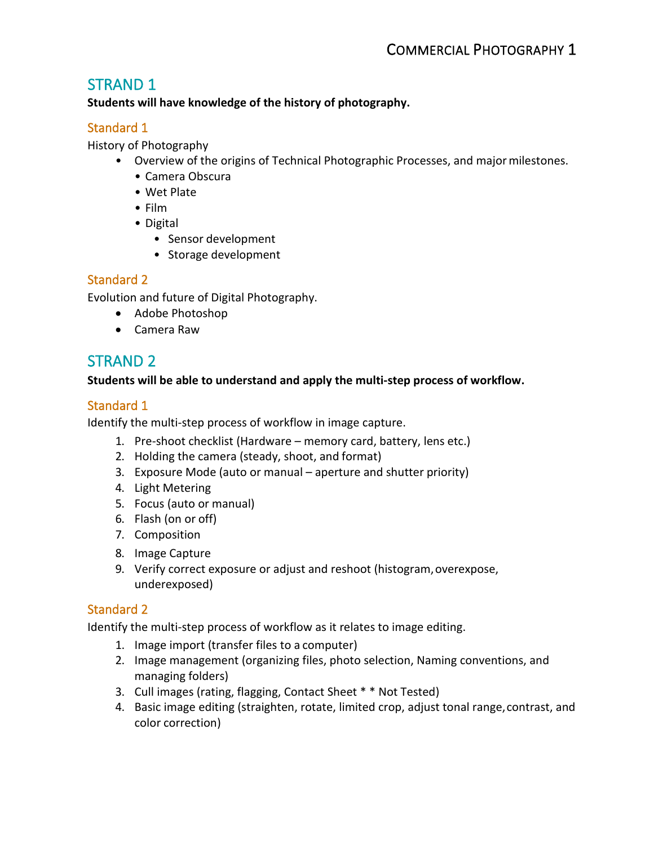# STRAND 1

**Students will have knowledge of the history of photography.** 

## Standard 1

History of Photography

- • Overview of the origins of Technical Photographic Processes, and major milestones.
	- Camera Obscura
	- Wet Plate
	- Film
	- Digital
		- Sensor development
		- Storage development

## Standard 2

Evolution and future of Digital Photography.

- Adobe Photoshop
- Camera Raw

# STRAND 2

## **Students will be able to understand and apply the multi-step process of workflow.**

## Standard 1

Identify the multi-step process of workflow in image capture.

- 1. Pre-shoot checklist (Hardware memory card, battery, lens etc.)
- 2. Holding the camera (steady, shoot, and format)
- 3. Exposure Mode (auto or manual aperture and shutter priority)
- 4. Light Metering
- 5. Focus (auto or manual)
- 6. Flash (on or off)
- 7. Composition
- 8. Image Capture
- 9. Verify correct exposure or adjust and reshoot (histogram, overexpose, underexposed)

## Standard 2

Identify the multi-step process of workflow as it relates to image editing.

- 1. Image import (transfer files to a computer)
- managing folders) 2. Image management (organizing files, photo selection, Naming conventions, and
- 3. Cull images (rating, flagging, Contact Sheet \* \* Not Tested)
- color correction)4. Basic image editing (straighten, rotate, limited crop, adjust tonal range,contrast, and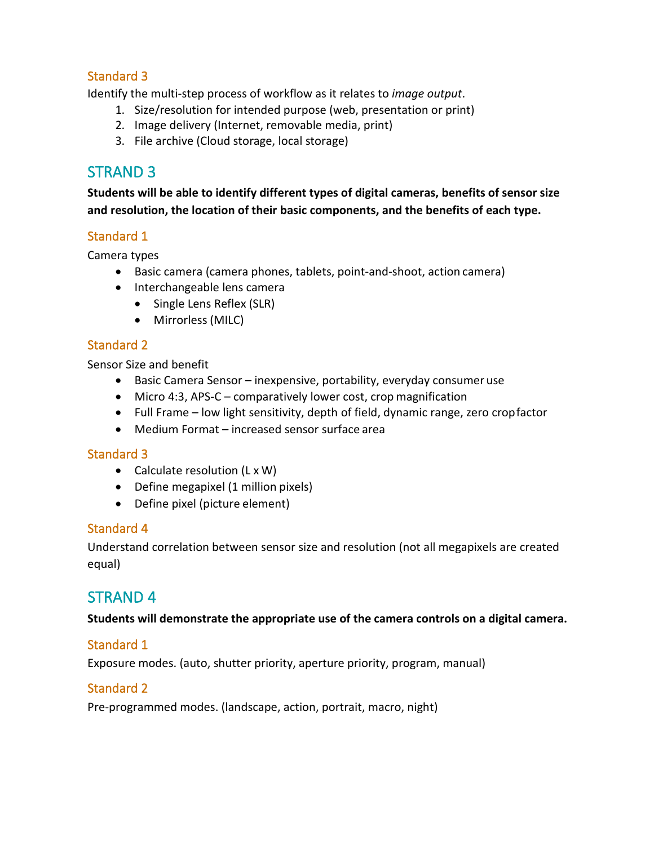## Standard 3

Identify the multi-step process of workflow as it relates to *image output*.

- 1. Size/resolution for intended purpose (web, presentation or print)
- 2. Image delivery (Internet, removable media, print)
- 3. File archive (Cloud storage, local storage)

# STRAND 3

**Students will be able to identify different types of digital cameras, benefits of sensor size and resolution, the location of their basic components, and the benefits of each type.** 

## Standard 1

Camera types

- Basic camera (camera phones, tablets, point-and-shoot, action camera)
- • Interchangeable lens camera
	- Single Lens Reflex (SLR)
	- Mirrorless (MILC)

## Standard 2

Sensor Size and benefit

- Basic Camera Sensor inexpensive, portability, everyday consumer use
- Micro 4:3, APS-C comparatively lower cost, crop magnification
- Full Frame low light sensitivity, depth of field, dynamic range, zero cropfactor
- Medium Format increased sensor surface area

#### Standard 3

- Calculate resolution (L x W)
- Define megapixel (1 million pixels)
- Define pixel (picture element)

#### Standard 4

Understand correlation between sensor size and resolution (not all megapixels are created equal)

## STRAND 4

#### **Students will demonstrate the appropriate use of the camera controls on a digital camera.**

#### Standard 1

Exposure modes. (auto, shutter priority, aperture priority, program, manual)

#### Standard 2

Pre-programmed modes. (landscape, action, portrait, macro, night)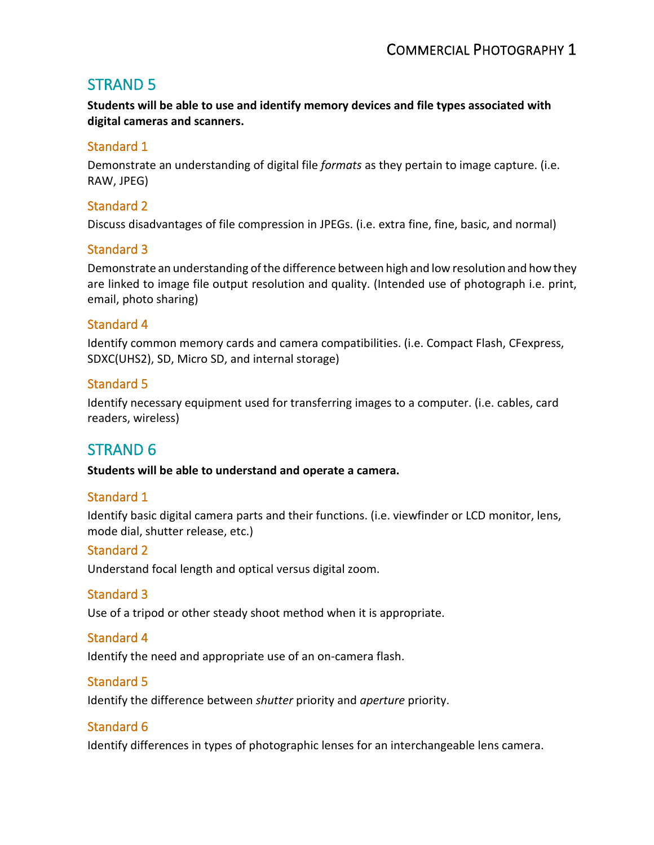# STRAND 5

 **Students will be able to use and identify memory devices and file types associated with digital cameras and scanners.** 

## Standard 1

 Demonstrate an understanding of digital file *formats* as they pertain to image capture. (i.e. RAW, JPEG)

## Standard 2

Discuss disadvantages of file compression in JPEGs. (i.e. extra fine, fine, basic, and normal)

## Standard 3

 Demonstrate an understanding of the difference between high and low resolution and how they email, photo sharing) are linked to image file output resolution and quality. (Intended use of photograph i.e. print,

## Standard 4

Identify common memory cards and camera compatibilities. (i.e. Compact Flash, CFexpress, SDXC(UHS2), SD, Micro SD, and internal storage)

## Standard 5

Identify necessary equipment used for transferring images to a computer. (i.e. cables, card readers, wireless)

# STRAND 6

**Students will be able to understand and operate a camera.** 

## Standard 1

Identify basic digital camera parts and their functions. (i.e. viewfinder or LCD monitor, lens, mode dial, shutter release, etc.)

## Standard 2

Understand focal length and optical versus digital zoom.

## Standard 3

Use of a tripod or other steady shoot method when it is appropriate.

#### Standard 4

Identify the need and appropriate use of an on-camera flash.

## Standard 5

Identify the difference between *shutter* priority and *aperture* priority.

## Standard 6

Identify differences in types of photographic lenses for an interchangeable lens camera.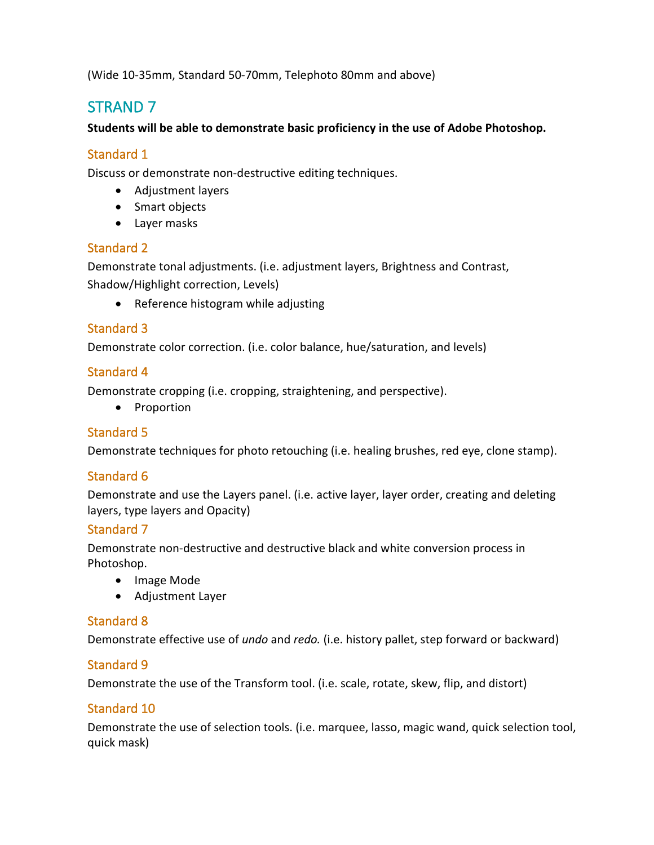(Wide 10-35mm, Standard 50-70mm, Telephoto 80mm and above)

# STRAND 7

#### **Students will be able to demonstrate basic proficiency in the use of Adobe Photoshop.**

## Standard 1

Discuss or demonstrate non-destructive editing techniques.

- Adjustment layers
- Smart objects
- Layer masks

## Standard 2

Demonstrate tonal adjustments. (i.e. adjustment layers, Brightness and Contrast, Shadow/Highlight correction, Levels)

• Reference histogram while adjusting

## Standard 3

Demonstrate color correction. (i.e. color balance, hue/saturation, and levels)

## Standard 4

Demonstrate cropping (i.e. cropping, straightening, and perspective).

• Proportion

## Standard 5

Demonstrate techniques for photo retouching (i.e. healing brushes, red eye, clone stamp).

## Standard 6

 layers, type layers and Opacity) Demonstrate and use the Layers panel. (i.e. active layer, layer order, creating and deleting

## Standard 7

 Demonstrate non-destructive and destructive black and white conversion process in Photoshop.

- Image Mode
- Adjustment Layer

## Standard 8

Demonstrate effective use of *undo* and *redo.* (i.e. history pallet, step forward or backward)

## Standard 9

Demonstrate the use of the Transform tool. (i.e. scale, rotate, skew, flip, and distort)

## Standard 10

 Demonstrate the use of selection tools. (i.e. marquee, lasso, magic wand, quick selection tool, quick mask)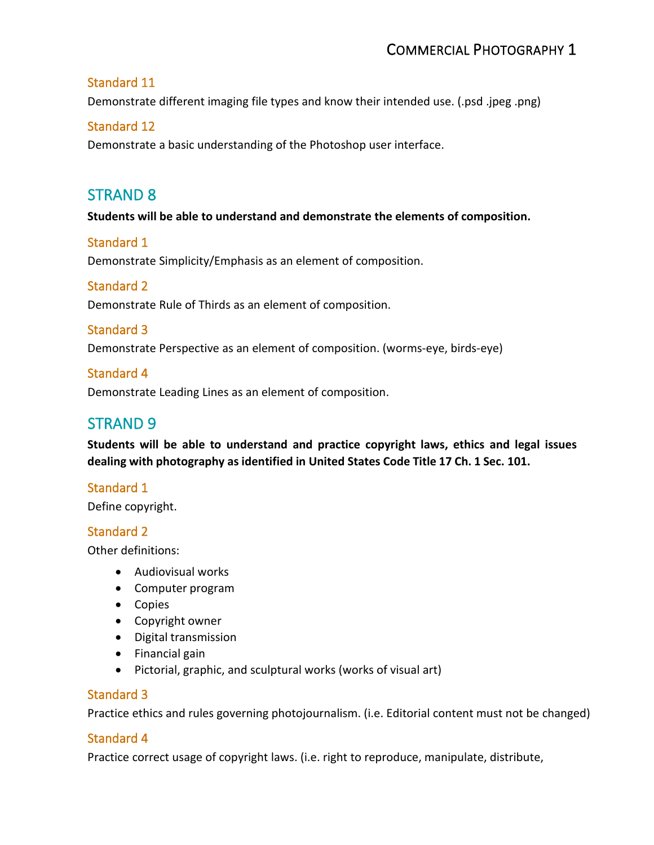#### Standard 11

Demonstrate different imaging file types and know their intended use. (.psd .jpeg .png)

#### Standard 12

Demonstrate a basic understanding of the Photoshop user interface.

## STRAND 8

**Students will be able to understand and demonstrate the elements of composition.** 

#### Standard 1

Demonstrate Simplicity/Emphasis as an element of composition.

## Standard 2

Demonstrate Rule of Thirds as an element of composition.

## Standard 3

Demonstrate Perspective as an element of composition. (worms-eye, birds-eye)

#### Standard 4

Demonstrate Leading Lines as an element of composition.

## STRAND 9

 **dealing with photography as identified in United States Code Title 17 Ch. 1 Sec. 101. Students will be able to understand and practice copyright laws, ethics and legal issues** 

#### Standard 1

Define copyright.

#### Standard 2

Other definitions:

- Audiovisual works
- Computer program
- Copies
- Copyright owner
- Digital transmission
- Financial gain
- Pictorial, graphic, and sculptural works (works of visual art)

#### Standard 3

Practice ethics and rules governing photojournalism. (i.e. Editorial content must not be changed)

#### Standard 4

Practice correct usage of copyright laws. (i.e. right to reproduce, manipulate, distribute,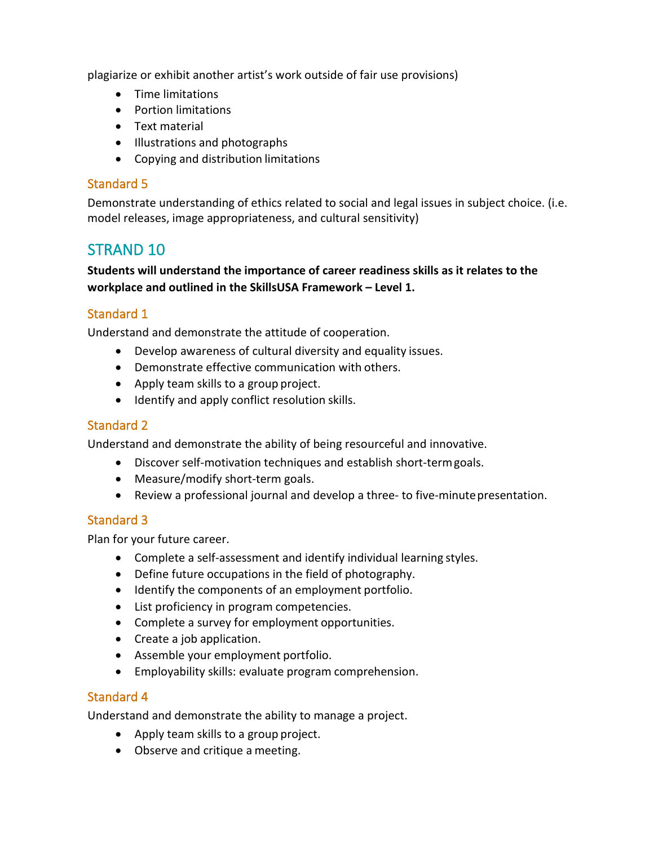plagiarize or exhibit another artist's work outside of fair use provisions)

- Time limitations
- Portion limitations
- Text material
- Illustrations and photographs
- Copying and distribution limitations

## Standard 5

 Demonstrate understanding of ethics related to social and legal issues in subject choice. (i.e. model releases, image appropriateness, and cultural sensitivity)

## STRAND 10

## **workplace and outlined in the SkillsUSA Framework – Level 1. Students will understand the importance of career readiness skills as it relates to the**

## Standard 1

Understand and demonstrate the attitude of cooperation.

- Develop awareness of cultural diversity and equality issues.
- Demonstrate effective communication with others.
- Apply team skills to a group project.
- Identify and apply conflict resolution skills.

## Standard 2

Understand and demonstrate the ability of being resourceful and innovative.

- Discover self-motivation techniques and establish short-term goals.
- Measure/modify short-term goals.
- Review a professional journal and develop a three- to five-minutepresentation.

## Standard 3

Plan for your future career.

- Complete a self-assessment and identify individual learning styles.
- Define future occupations in the field of photography.
- Identify the components of an employment portfolio.
- List proficiency in program competencies.
- Complete a survey for employment opportunities.
- Create a job application.
- Assemble your employment portfolio.
- Employability skills: evaluate program comprehension.

## Standard 4

Understand and demonstrate the ability to manage a project.

- Apply team skills to a group project.
- Observe and critique a meeting.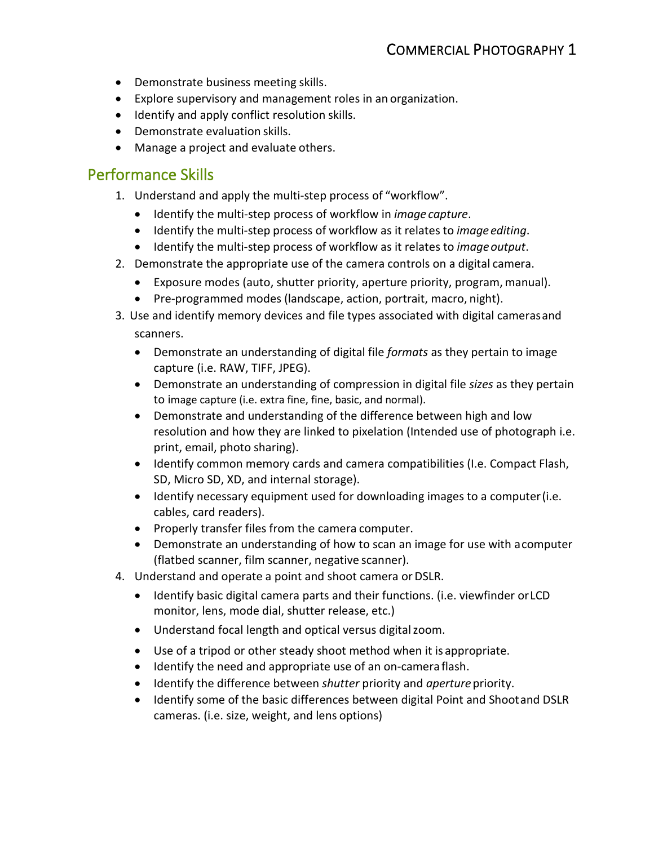- Demonstrate business meeting skills.
- Explore supervisory and management roles in an organization.
- Identify and apply conflict resolution skills.
- Demonstrate evaluation skills.
- Manage a project and evaluate others.

## Performance Skills

- 1. Understand and apply the multi-step process of "workflow".
	- Identify the multi-step process of workflow in *image capture*.
	- Identify the multi-step process of workflow as it relates to *image editing*.
	- Identify the multi-step process of workflow as it relates to *image output*.
- 2. Demonstrate the appropriate use of the camera controls on a digital camera.
	- Exposure modes (auto, shutter priority, aperture priority, program, manual).
	- Pre-programmed modes (landscape, action, portrait, macro, night).
- 3. Use and identify memory devices and file types associated with digital camerasand scanners.
	- • Demonstrate an understanding of digital file *formats* as they pertain to image capture (i.e. RAW, TIFF, JPEG).
	- Demonstrate an understanding of compression in digital file *sizes* as they pertain to image capture (i.e. extra fine, fine, basic, and normal).
	- • Demonstrate and understanding of the difference between high and low resolution and how they are linked to pixelation (Intended use of photograph i.e. print, email, photo sharing).
	- Identify common memory cards and camera compatibilities (I.e. Compact Flash, SD, Micro SD, XD, and internal storage).
	- Identify necessary equipment used for downloading images to a computer(i.e. cables, card readers).
	- Properly transfer files from the camera computer.
	- Demonstrate an understanding of how to scan an image for use with acomputer (flatbed scanner, film scanner, negative scanner).
- 4. Understand and operate a point and shoot camera or DSLR.
	- Identify basic digital camera parts and their functions. (i.e. viewfinder orLCD monitor, lens, mode dial, shutter release, etc.)
	- Understand focal length and optical versus digital zoom.
	- Use of a tripod or other steady shoot method when it is appropriate.
	- Identify the need and appropriate use of an on-camera flash.
	- Identify the difference between *shutter* priority and *aperture* priority.
	- Identify some of the basic differences between digital Point and Shootand DSLR cameras. (i.e. size, weight, and lens options)